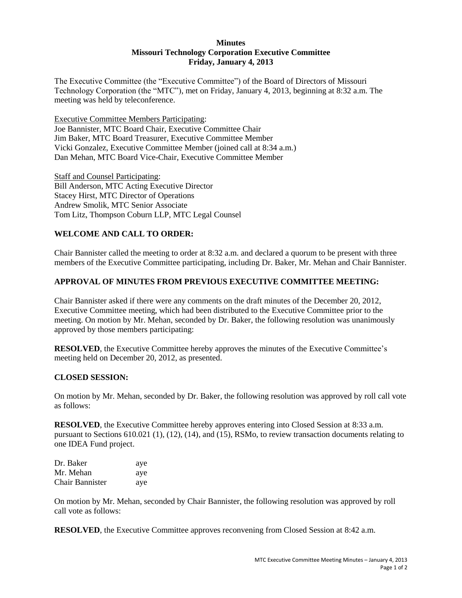## **Minutes Missouri Technology Corporation Executive Committee Friday, January 4, 2013**

The Executive Committee (the "Executive Committee") of the Board of Directors of Missouri Technology Corporation (the "MTC"), met on Friday, January 4, 2013, beginning at 8:32 a.m. The meeting was held by teleconference.

Executive Committee Members Participating: Joe Bannister, MTC Board Chair, Executive Committee Chair Jim Baker, MTC Board Treasurer, Executive Committee Member Vicki Gonzalez, Executive Committee Member (joined call at 8:34 a.m.) Dan Mehan, MTC Board Vice-Chair, Executive Committee Member

Staff and Counsel Participating: Bill Anderson, MTC Acting Executive Director Stacey Hirst, MTC Director of Operations Andrew Smolik, MTC Senior Associate Tom Litz, Thompson Coburn LLP, MTC Legal Counsel

# **WELCOME AND CALL TO ORDER:**

Chair Bannister called the meeting to order at 8:32 a.m. and declared a quorum to be present with three members of the Executive Committee participating, including Dr. Baker, Mr. Mehan and Chair Bannister.

# **APPROVAL OF MINUTES FROM PREVIOUS EXECUTIVE COMMITTEE MEETING:**

Chair Bannister asked if there were any comments on the draft minutes of the December 20, 2012, Executive Committee meeting, which had been distributed to the Executive Committee prior to the meeting. On motion by Mr. Mehan, seconded by Dr. Baker, the following resolution was unanimously approved by those members participating:

**RESOLVED**, the Executive Committee hereby approves the minutes of the Executive Committee's meeting held on December 20, 2012, as presented.

## **CLOSED SESSION:**

On motion by Mr. Mehan, seconded by Dr. Baker, the following resolution was approved by roll call vote as follows:

**RESOLVED**, the Executive Committee hereby approves entering into Closed Session at 8:33 a.m. pursuant to Sections 610.021 (1), (12), (14), and (15), RSMo, to review transaction documents relating to one IDEA Fund project.

| Dr. Baker       | aye |
|-----------------|-----|
| Mr. Mehan       | aye |
| Chair Bannister | aye |

On motion by Mr. Mehan, seconded by Chair Bannister, the following resolution was approved by roll call vote as follows:

**RESOLVED**, the Executive Committee approves reconvening from Closed Session at 8:42 a.m.